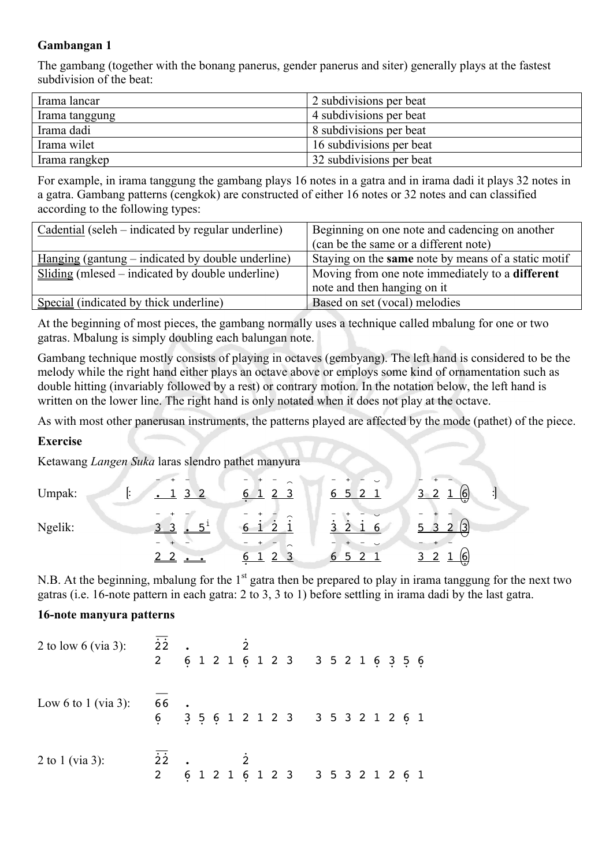## **Gambangan 1**

The gambang (together with the bonang panerus, gender panerus and siter) generally plays at the fastest subdivision of the beat:

| Irama lancar   | 2 subdivisions per beat  |
|----------------|--------------------------|
| Irama tanggung | 4 subdivisions per beat  |
| Irama dadi     | 8 subdivisions per beat  |
| Irama wilet    | 16 subdivisions per beat |
| Irama rangkep  | 32 subdivisions per beat |

For example, in irama tanggung the gambang plays 16 notes in a gatra and in irama dadi it plays 32 notes in a gatra. Gambang patterns (cengkok) are constructed of either 16 notes or 32 notes and can classified according to the following types:

| Cadential (seleh – indicated by regular underline)       | Beginning on one note and cadencing on another         |
|----------------------------------------------------------|--------------------------------------------------------|
|                                                          | (can be the same or a different note)                  |
| <u>Hanging</u> (gantung – indicated by double underline) | Staying on the same note by means of a static motif    |
| Sliding (mlesed – indicated by double underline)         | Moving from one note immediately to a <b>different</b> |
|                                                          | note and then hanging on it                            |
| Special (indicated by thick underline)                   | Based on set (vocal) melodies                          |

At the beginning of most pieces, the gambang normally uses a technique called mbalung for one or two gatras. Mbalung is simply doubling each balungan note.

Gambang technique mostly consists of playing in octaves (gembyang). The left hand is considered to be the melody while the right hand either plays an octave above or employs some kind of ornamentation such as double hitting (invariably followed by a rest) or contrary motion. In the notation below, the left hand is written on the lower line. The right hand is only notated when it does not play at the octave.

As with most other panerusan instruments, the patterns played are affected by the mode (pathet) of the piece.

## **Exercise**

Ketawang *Langen Suka* laras slendro pathet manyura

|         |                     | ⌒                   | $\overline{\phantom{0}}$              |                                   |
|---------|---------------------|---------------------|---------------------------------------|-----------------------------------|
| Umpak:  | ર<br>$\overline{2}$ | 6<br>2 <sub>3</sub> | 2 <sub>1</sub><br>6<br>5 <sub>1</sub> | ŀ<br>$\vert 6 \vert$<br>▽         |
| Ngelik: | 3 <sup>3</sup>      | $\sim$<br>ົ         | 3<br>-6                               | <u>, (3)</u><br>$\mathbf{r}$<br>ົ |
|         |                     | ⌒                   | 5<br>6                                | 16<br>ر،                          |

N.B. At the beginning, mbalung for the 1<sup>st</sup> gatra then be prepared to play in irama tanggung for the next two gatras (i.e. 16-note pattern in each gatra: 2 to 3, 3 to 1) before settling in irama dadi by the last gatra.

## **16-note manyura patterns**

| 2 to low 6 (via 3): $\overline{22}$ . |                                                                                                                                                                                                                                                                                                                                                                                      |  |  |  | 6 1 2 1 6 1 2 3 3 5 2 1 6 3 5 6   |  |  |  |  |
|---------------------------------------|--------------------------------------------------------------------------------------------------------------------------------------------------------------------------------------------------------------------------------------------------------------------------------------------------------------------------------------------------------------------------------------|--|--|--|-----------------------------------|--|--|--|--|
| Low 6 to 1 (via 3): 66 .              |                                                                                                                                                                                                                                                                                                                                                                                      |  |  |  | 6 3 5 6 1 2 1 2 3 3 5 3 2 1 2 6 1 |  |  |  |  |
| 2 to 1 (via 3):                       | $\overline{2}$ $\overline{2}$ $\overline{2}$ $\overline{2}$ $\overline{2}$ $\overline{2}$ $\overline{2}$ $\overline{2}$ $\overline{2}$ $\overline{2}$ $\overline{2}$ $\overline{2}$ $\overline{2}$ $\overline{2}$ $\overline{2}$ $\overline{2}$ $\overline{2}$ $\overline{2}$ $\overline{2}$ $\overline{2}$ $\overline{2}$ $\overline{2}$ $\overline{2}$ $\overline{2}$ $\overline{$ |  |  |  | 6 1 2 1 6 1 2 3 3 5 3 2 1 2 6 1   |  |  |  |  |